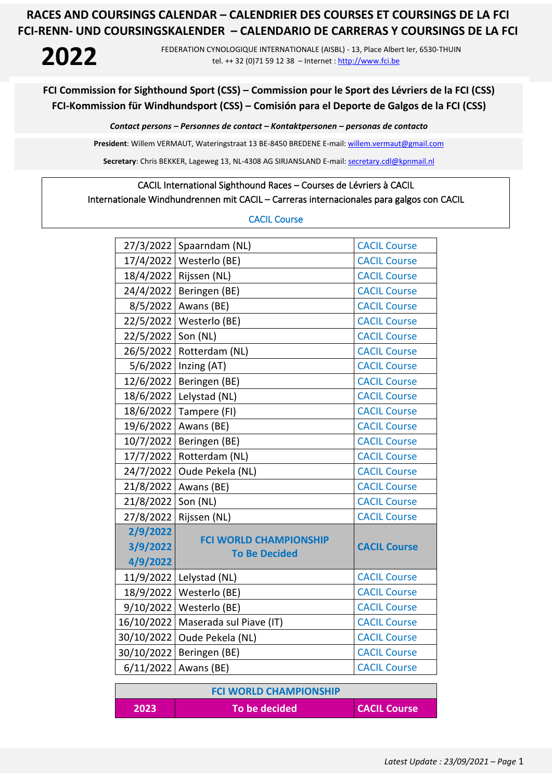# **2022**

FEDERATION CYNOLOGIQUE INTERNATIONALE (AISBL) - 13, Place Albert Ier, 6530-THUIN tel. ++ 32 (0)71 59 12 38 – Internet [: http://www.fci.be](http://www.fci.be/)

## **FCI Commission for Sighthound Sport (CSS) – Commission pour le Sport des Lévriers de la FCI (CSS) FCI-Kommission für Windhundsport (CSS) – Comisión para el Deporte de Galgos de la FCI (CSS)**

*Contact persons – Personnes de contact – Kontaktpersonen – personas de contacto*

**President**: Willem VERMAUT, Wateringstraat 13 BE-8450 BREDENE E-mail: [willem.vermaut@gmail.com](mailto:willem.vermaut@gmail.com) 

Secretary: Chris BEKKER, Lageweg 13, NL-4308 AG SIRJANSLAND E-mail[: secretary.cdl@kpnmail.nl](mailto:secretary.cdl@kpnmail.nl)

# CACIL International Sighthound Races – Courses de Lévriers à CACIL

Internationale Windhundrennen mit CACIL – Carreras internacionales para galgos con CACIL

#### CACIL Course

|                               | 27/3/2022   Spaarndam (NL)    | <b>CACIL Course</b> |
|-------------------------------|-------------------------------|---------------------|
|                               | 17/4/2022   Westerlo (BE)     | <b>CACIL Course</b> |
|                               | 18/4/2022   Rijssen (NL)      | <b>CACIL Course</b> |
|                               | 24/4/2022   Beringen (BE)     | <b>CACIL Course</b> |
|                               | 8/5/2022   Awans (BE)         | <b>CACIL Course</b> |
|                               | 22/5/2022   Westerlo (BE)     | <b>CACIL Course</b> |
| 22/5/2022 Son (NL)            |                               | <b>CACIL Course</b> |
|                               | 26/5/2022   Rotterdam (NL)    | <b>CACIL Course</b> |
|                               | 5/6/2022   Inzing (AT)        | <b>CACIL Course</b> |
|                               | 12/6/2022   Beringen (BE)     | <b>CACIL Course</b> |
|                               | 18/6/2022   Lelystad (NL)     | <b>CACIL Course</b> |
| 18/6/2022                     | Tampere (FI)                  | <b>CACIL Course</b> |
| 19/6/2022                     | Awans (BE)                    | <b>CACIL Course</b> |
|                               | 10/7/2022   Beringen (BE)     | <b>CACIL Course</b> |
|                               | 17/7/2022   Rotterdam (NL)    | <b>CACIL Course</b> |
| 24/7/2022                     | Oude Pekela (NL)              | <b>CACIL Course</b> |
| 21/8/2022                     | Awans (BE)                    | <b>CACIL Course</b> |
| 21/8/2022   Son (NL)          |                               | <b>CACIL Course</b> |
| 27/8/2022                     | Rijssen (NL)                  | <b>CACIL Course</b> |
| 2/9/2022                      | <b>FCI WORLD CHAMPIONSHIP</b> |                     |
| 3/9/2022                      | <b>To Be Decided</b>          | <b>CACIL Course</b> |
| 4/9/2022                      |                               |                     |
|                               | 11/9/2022   Lelystad (NL)     | <b>CACIL Course</b> |
|                               | 18/9/2022   Westerlo (BE)     | <b>CACIL Course</b> |
|                               | 9/10/2022   Westerlo (BE)     | <b>CACIL Course</b> |
| 16/10/2022                    | Maserada sul Piave (IT)       | <b>CACIL Course</b> |
| 30/10/2022                    | Oude Pekela (NL)              | <b>CACIL Course</b> |
| 30/10/2022                    | Beringen (BE)                 | <b>CACIL Course</b> |
| 6/11/2022                     | Awans (BE)                    | <b>CACIL Course</b> |
|                               |                               |                     |
| <b>FCI WORLD CHAMPIONSHIP</b> |                               |                     |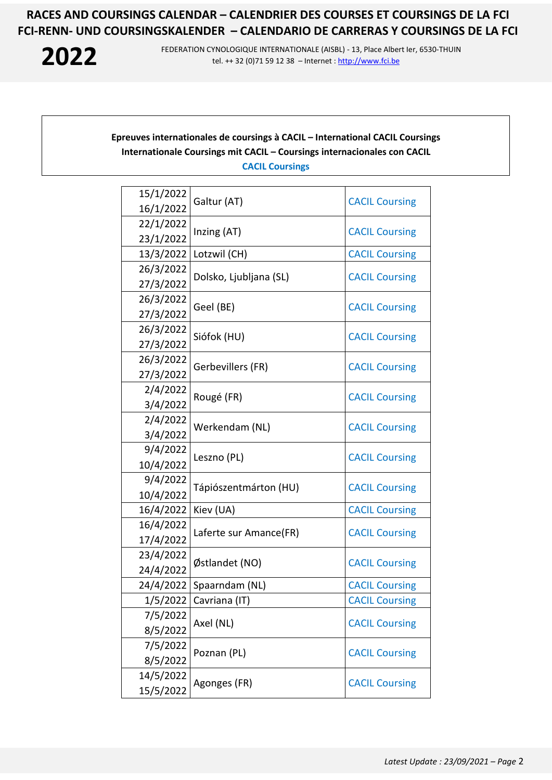**2022**

FEDERATION CYNOLOGIQUE INTERNATIONALE (AISBL) - 13, Place Albert Ier, 6530-THUIN tel. ++ 32 (0)71 59 12 38 – Internet [: http://www.fci.be](http://www.fci.be/)

## **Epreuves internationales de coursings à CACIL – International CACIL Coursings Internationale Coursings mit CACIL – Coursings internacionales con CACIL CACIL Coursings**

| 15/1/2022              | Galtur (AT)              | <b>CACIL Coursing</b> |
|------------------------|--------------------------|-----------------------|
| 16/1/2022              |                          |                       |
| 22/1/2022              | Inzing (AT)              | <b>CACIL Coursing</b> |
| 23/1/2022              |                          |                       |
| 13/3/2022              | Lotzwil (CH)             | <b>CACIL Coursing</b> |
| 26/3/2022              | Dolsko, Ljubljana (SL)   | <b>CACIL Coursing</b> |
| 27/3/2022              |                          |                       |
| 26/3/2022              | Geel (BE)                | <b>CACIL Coursing</b> |
| 27/3/2022              |                          |                       |
| 26/3/2022              | Siófok (HU)              | <b>CACIL Coursing</b> |
| 27/3/2022              |                          |                       |
| 26/3/2022              | Gerbevillers (FR)        | <b>CACIL Coursing</b> |
| 27/3/2022              |                          |                       |
| 2/4/2022               | Rougé (FR)               | <b>CACIL Coursing</b> |
| 3/4/2022               |                          |                       |
| 2/4/2022               | Werkendam (NL)           | <b>CACIL Coursing</b> |
| 3/4/2022               |                          |                       |
| 9/4/2022               | Leszno (PL)              | <b>CACIL Coursing</b> |
| 10/4/2022              |                          |                       |
| 9/4/2022               | Tápiószentmárton (HU)    | <b>CACIL Coursing</b> |
| 10/4/2022              |                          |                       |
| 16/4/2022<br>16/4/2022 | Kiev (UA)                | <b>CACIL Coursing</b> |
| 17/4/2022              | Laferte sur Amance(FR)   | <b>CACIL Coursing</b> |
| 23/4/2022              |                          | <b>CACIL Coursing</b> |
| 24/4/2022              | Østlandet (NO)           |                       |
| 24/4/2022              | Spaarndam (NL)           | <b>CACIL Coursing</b> |
|                        | 1/5/2022   Cavriana (IT) | <b>CACIL Coursing</b> |
| 7/5/2022               |                          | <b>CACIL Coursing</b> |
| 8/5/2022               | Axel (NL)                |                       |
| 7/5/2022               |                          | <b>CACIL Coursing</b> |
| 8/5/2022               | Poznan (PL)              |                       |
| 14/5/2022              | Agonges (FR)             | <b>CACIL Coursing</b> |
| 15/5/2022              |                          |                       |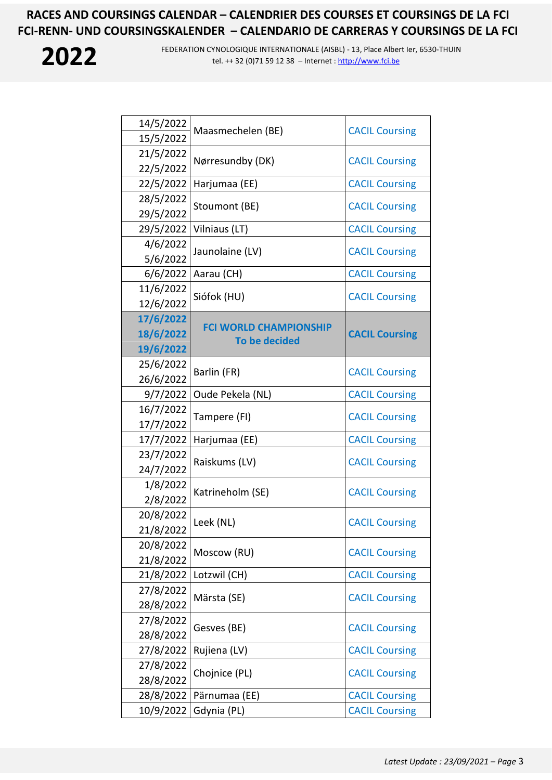

FEDERATION CYNOLOGIQUE INTERNATIONALE (AISBL) - 13, Place Albert Ier, 6530-THUIN tel. ++ 32 (0)71 59 12 38 – Internet [: http://www.fci.be](http://www.fci.be/)

| 14/5/2022              | Maasmechelen (BE)                                     | <b>CACIL Coursing</b> |
|------------------------|-------------------------------------------------------|-----------------------|
| 15/5/2022              |                                                       |                       |
| 21/5/2022              | Nørresundby (DK)                                      | <b>CACIL Coursing</b> |
| 22/5/2022              |                                                       |                       |
| 22/5/2022              | Harjumaa (EE)                                         | <b>CACIL Coursing</b> |
| 28/5/2022<br>29/5/2022 | Stoumont (BE)                                         | <b>CACIL Coursing</b> |
| 29/5/2022              | Vilniaus (LT)                                         | <b>CACIL Coursing</b> |
| 4/6/2022               |                                                       |                       |
| 5/6/2022               | Jaunolaine (LV)                                       | <b>CACIL Coursing</b> |
| 6/6/2022               | Aarau (CH)                                            | <b>CACIL Coursing</b> |
| 11/6/2022              |                                                       | <b>CACIL Coursing</b> |
| 12/6/2022              | Siófok (HU)                                           |                       |
| 17/6/2022              |                                                       | <b>CACIL Coursing</b> |
| 18/6/2022              | <b>FCI WORLD CHAMPIONSHIP</b><br><b>To be decided</b> |                       |
| 19/6/2022              |                                                       |                       |
| 25/6/2022              | Barlin (FR)                                           | <b>CACIL Coursing</b> |
| 26/6/2022              |                                                       |                       |
| 9/7/2022               | Oude Pekela (NL)                                      | <b>CACIL Coursing</b> |
| 16/7/2022              | Tampere (FI)                                          | <b>CACIL Coursing</b> |
| 17/7/2022<br>17/7/2022 |                                                       |                       |
| 23/7/2022              | Harjumaa (EE)                                         | <b>CACIL Coursing</b> |
| 24/7/2022              | Raiskums (LV)                                         | <b>CACIL Coursing</b> |
| 1/8/2022               | Katrineholm (SE)                                      | <b>CACIL Coursing</b> |
| 2/8/2022               |                                                       |                       |
| 20/8/2022              |                                                       | <b>CACIL Coursing</b> |
| 21/8/2022              | Leek (NL)                                             |                       |
| 20/8/2022              | Moscow (RU)                                           | <b>CACIL Coursing</b> |
| 21/8/2022              |                                                       |                       |
| 21/8/2022              | Lotzwil (CH)                                          | <b>CACIL Coursing</b> |
| 27/8/2022              | Märsta (SE)                                           | <b>CACIL Coursing</b> |
| 28/8/2022              |                                                       |                       |
| 27/8/2022              | Gesves (BE)                                           | <b>CACIL Coursing</b> |
| 28/8/2022              |                                                       |                       |
| 27/8/2022              | Rujiena (LV)                                          | <b>CACIL Coursing</b> |
| 27/8/2022<br>28/8/2022 | Chojnice (PL)                                         | <b>CACIL Coursing</b> |
| 28/8/2022              | Pärnumaa (EE)                                         | <b>CACIL Coursing</b> |
| 10/9/2022              | Gdynia (PL)                                           | <b>CACIL Coursing</b> |
|                        |                                                       |                       |